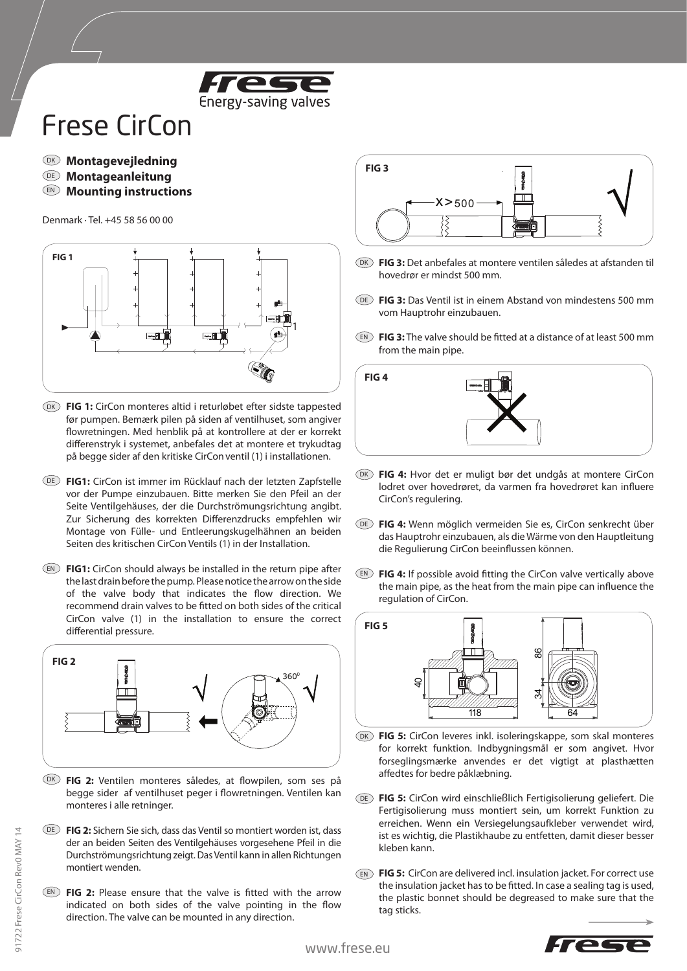

## Frese CirCon

- **Montagevejledning** DK
- **Montageanleitung** DE
- **Mounting instructions** EN

Denmark · Tel. +45 58 56 00 00



- DK) **FIG 1:** CirCon monteres altid i returløbet efter sidste tappested før pumpen. Bemærk pilen på siden af ventilhuset, som angiver flowretningen. Med henblik på at kontrollere at der er korrekt differenstryk i systemet, anbefales det at montere et trykudtag på begge sider af den kritiske CirConventil (1) i installationen.
- **FIG1:** CirCon ist immer im Rücklauf nach der letzten Zapfstelle DE vor der Pumpe einzubauen. Bitte merken Sie den Pfeil an der Seite Ventilgehäuses, der die Durchströmungsrichtung angibt. Zur Sicherung des korrekten Differenzdrucks empfehlen wir Montage von Fülle- und Entleerungskugelhähnen an beiden Seiten des kritischen CirCon Ventils (1) in der Installation.
- EN) **FIG1:** CirCon should always be installed in the return pipe after the last drain before the pump. Please notice the arrow on the side of the valve body that indicates the flow direction. We recommend drain valves to be fitted on both sides of the critical CirCon valve (1) in the installation to ensure the correct differential pressure.



- DK) **FIG 2:** Ventilen monteres således, at flowpilen, som ses på begge sider af ventilhuset peger i flowretningen. Ventilen kan monteres i alle retninger.
- **FIG 2:** Sichern Sie sich, dass das Ventil so montiert worden ist, dass DE der an beiden Seiten des Ventilgehäuses vorgesehene Pfeil in die Durchströmungsrichtung zeigt. Das Ventil kann in allen Richtungen montiert wenden.
- **FIG 2:** Please ensure that the valve is fitted with the arrow EN indicated on both sides of the valve pointing in the flow direction. The valve can be mounted in any direction.



- DK **FIG 3:** Det anbefales at montere ventilen således at afstanden til hovedrør er mindst 500 mm.
- **FIG 3:** Das Ventil ist in einem Abstand von mindestens 500 mm DE vom Hauptrohr einzubauen.
- **FIG 3:** The valve should be fitted at a distance of at least 500 mm EN from the main pipe.



- DK) FIG 4: Hvor det er muligt bør det undgås at montere CirCon lodret over hovedrøret, da varmen fra hovedrøret kan influere CirCon's regulering.
- **FIG 4:** Wenn möglich vermeiden Sie es, CirCon senkrecht über DE das Hauptrohr einzubauen, als die Wärme von den Hauptleitung die Regulierung CirCon beeinflussen können.
- **FIG 4:** If possible avoid fitting the CirCon valve vertically above EN the main pipe, as the heat from the main pipe can influence the regulation of CirCon.



- DK FIG 5: CirCon leveres inkl. isoleringskappe, som skal monteres for korrekt funktion. Indbygningsmål er som angivet. Hvor forseglingsmærke anvendes er det vigtigt at plasthætten affedtes for bedre påklæbning.
- **FIG 5:** CirCon wird einschließlich Fertigisolierung geliefert. Die DE Fertigisolierung muss montiert sein, um korrekt Funktion zu erreichen. Wenn ein Versiegelungsaufkleber verwendet wird, ist es wichtig, die Plastikhaube zu entfetten, damit dieser besser kleben kann.
- **FIG 5:** CirCon are delivered incl. insulation jacket. For correct use ENthe insulation jacket has to be fitted. In case a sealing tag is used, the plastic bonnet should be degreased to make sure that the tag sticks.